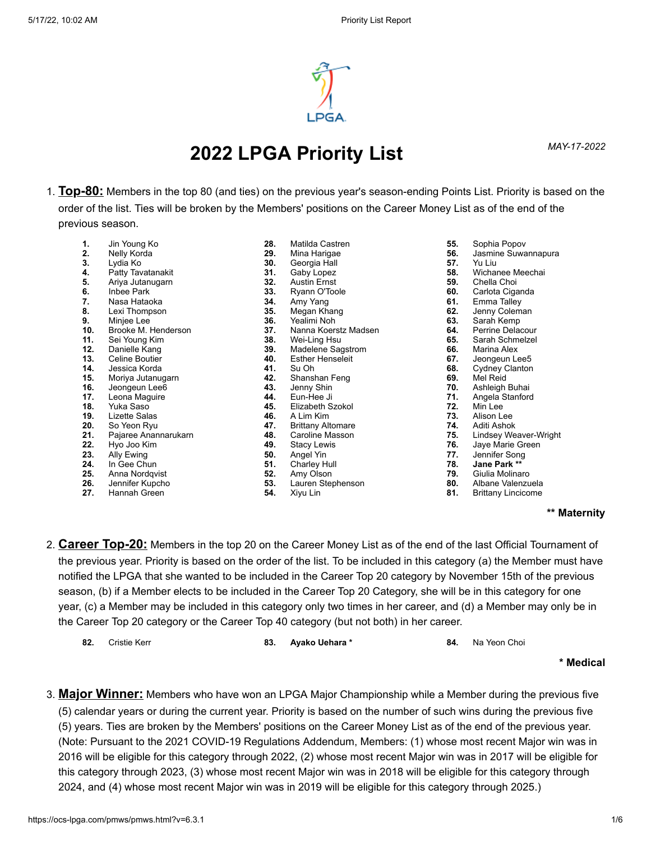

# *MAY-17-2022* **2022 LPGA Priority List**

1. **Top-80:** Members in the top 80 (and ties) on the previous year's season-ending Points List. Priority is based on the order of the list. Ties will be broken by the Members' positions on the Career Money List as of the end of the previous season.

| 1.  | Jin Young Ko          |
|-----|-----------------------|
| 2.  | Nelly Korda           |
| 3.  | Lydia Ko              |
| 4.  | Patty Tavatanakit     |
| 5.  | Ariya Jutanugarn      |
| 6.  | Inbee Park            |
| 7.  | Nasa Hataoka          |
| 8.  | Lexi Thompson         |
| 9.  | Minjee Lee            |
| 10. | Brooke M. Henderson   |
| 11. | Sei Young Kim         |
| 12. | Danielle Kang         |
| 13. | <b>Celine Boutier</b> |
| 14. | Jessica Korda         |
| 15. | Moriya Jutanugarn     |
| 16. | Jeongeun Lee6         |
| 17. | Leona Maguire         |
| 18. | Yuka Saso             |
| 19. | <b>Lizette Salas</b>  |
| 20. | So Yeon Ryu           |
| 21. | Pajaree Anannarukarn  |
| 22. | Hyo Joo Kim           |
| 23. | Ally Ewing            |
| 24. | In Gee Chun           |
| 25. | Anna Nordqvist        |
| 26. | Jennifer Kupcho       |
| 27. | Hannah Green          |

- **28.** Matilda Castren **29.** Mina Harigae **30.** Georgia Hall **31.** Gaby Lopez **32.** Austin Ernst **33.** Ryann O'Toole **34.** Amy Yang **35.** Megan Khang **36.** Yealimi Noh **37.** Nanna Koerstz Madsen<br>**38.** Wei-Ling Hsu **38.** Wei-Ling Hsu **39.** Madelene Sagstrom<br>**40.** Esther Henseleit **40.** Esther Henseleit<br>**41** Su Oh **41.** Su Oh **42.** Shanshan Feng **43.** Jenny Shin<br>**44.** Fun-Hee Ji **44.** Eun-Hee Ji **45.** Elizabeth Szokol **46.** A Lim Kim **47.** Brittany Altomare **48.** Caroline Masson **49.** Stacy Lewis **50.** Angel Yin **51.** Charley Hull **52.** Amy Olson **53.** Lauren Stephenson
- **54.** Xiyu Lin
- **55.** Sophia Popov
- **56.** Jasmine Suwannapura
- **57.** Yu Liu
- **58.** Wichanee Meechai
- 
- **59.** Chella Choi **60.** Carlota Ciganda
- **61.** Emma Talley
- **62.** Jenny Coleman
- **63.** Sarah Kemp
- **64.** Perrine Delacour
- **65.** Sarah Schmelzel
- 
- **66.** Marina Alex
- **67.** Jeongeun Lee5<br>**68.** Cydney Clantor **68.** Cydney Clanton
- 
- **69.** Mel Reid **70.** Ashleigh Buhai
- **71.** Angela Stanford
- 
- **72.** Min Lee
- **73.** Alison Lee **74.** Aditi Ashok
	- **75.** Lindsey Weaver-Wright
- **76.** Jaye Marie Green
- **77.** Jennifer Song<br>**78.** Jane Park \*\*
- **78. Jane Park \*\***
- **79.** Giulia Molinaro
- **80.** Albane Valenzuela
- **81.** Brittany Lincicome

## **\*\* Maternity**

- 2. **Career Top-20:** Members in the top 20 on the Career Money List as of the end of the last Official Tournament of the previous year. Priority is based on the order of the list. To be included in this category (a) the Member must have notified the LPGA that she wanted to be included in the Career Top 20 category by November 15th of the previous season, (b) if a Member elects to be included in the Career Top 20 Category, she will be in this category for one year, (c) a Member may be included in this category only two times in her career, and (d) a Member may only be in the Career Top 20 category or the Career Top 40 category (but not both) in her career.
	- **82.** Cristie Kerr **83. Ayako Uehara \* 84.** Na Yeon Choi

## **\* Medical**

3. **Major Winner:** Members who have won an LPGA Major Championship while a Member during the previous five (5) calendar years or during the current year. Priority is based on the number of such wins during the previous five (5) years. Ties are broken by the Members' positions on the Career Money List as of the end of the previous year. (Note: Pursuant to the 2021 COVID-19 Regulations Addendum, Members: (1) whose most recent Major win was in 2016 will be eligible for this category through 2022, (2) whose most recent Major win was in 2017 will be eligible for this category through 2023, (3) whose most recent Major win was in 2018 will be eligible for this category through 2024, and (4) whose most recent Major win was in 2019 will be eligible for this category through 2025.)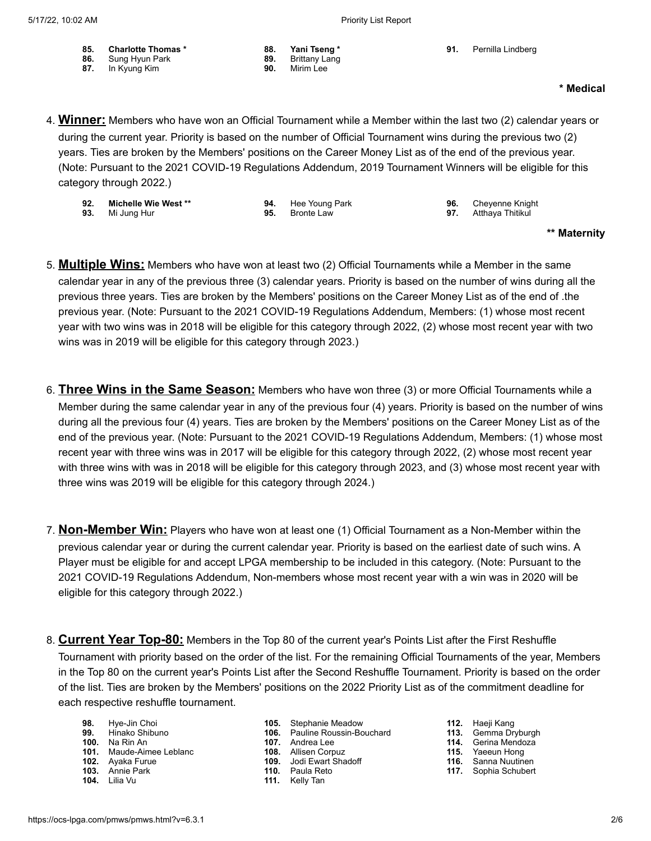**85. Charlotte Thomas \* 86.** Sung Hyun Park **87.** In Kyung Kim

|  | Priority List Report |  |
|--|----------------------|--|
|  |                      |  |

**91.** Pernilla Lindberg

## **\* Medical**

4. **Winner:** Members who have won an Official Tournament while a Member within the last two (2) calendar years or during the current year. Priority is based on the number of Official Tournament wins during the previous two (2) years. Ties are broken by the Members' positions on the Career Money List as of the end of the previous year. (Note: Pursuant to the 2021 COVID-19 Regulations Addendum, 2019 Tournament Winners will be eligible for this category through 2022.)

- **92. Michelle Wie West \*\* 93.** Mi Jung Hur
	- **94.** Hee Young Park **95.** Bronte Law

**88. Yani Tseng \* 89.** Brittany Lang **90.** Mirim Lee

> **96.** Cheyenne Knight<br>**97.** Atthava Thitikul **97.** Atthaya Thitikul

# **\*\* Maternity**

- 5. **Multiple Wins:** Members who have won at least two (2) Official Tournaments while a Member in the same calendar year in any of the previous three (3) calendar years. Priority is based on the number of wins during all the previous three years. Ties are broken by the Members' positions on the Career Money List as of the end of .the previous year. (Note: Pursuant to the 2021 COVID-19 Regulations Addendum, Members: (1) whose most recent year with two wins was in 2018 will be eligible for this category through 2022, (2) whose most recent year with two wins was in 2019 will be eligible for this category through 2023.)
- 6. **Three Wins in the Same Season:** Members who have won three (3) or more Official Tournaments while a Member during the same calendar year in any of the previous four (4) years. Priority is based on the number of wins during all the previous four (4) years. Ties are broken by the Members' positions on the Career Money List as of the end of the previous year. (Note: Pursuant to the 2021 COVID-19 Regulations Addendum, Members: (1) whose most recent year with three wins was in 2017 will be eligible for this category through 2022, (2) whose most recent year with three wins with was in 2018 will be eligible for this category through 2023, and (3) whose most recent year with three wins was 2019 will be eligible for this category through 2024.)
- 7. **Non-Member Win:** Players who have won at least one (1) Official Tournament as a Non-Member within the previous calendar year or during the current calendar year. Priority is based on the earliest date of such wins. A Player must be eligible for and accept LPGA membership to be included in this category. (Note: Pursuant to the 2021 COVID-19 Regulations Addendum, Non-members whose most recent year with a win was in 2020 will be eligible for this category through 2022.)
- 8. **Current Year Top-80:** Members in the Top 80 of the current year's Points List after the First Reshuffle Tournament with priority based on the order of the list. For the remaining Official Tournaments of the year, Members in the Top 80 on the current year's Points List after the Second Reshuffle Tournament. Priority is based on the order of the list. Ties are broken by the Members' positions on the 2022 Priority List as of the commitment deadline for each respective reshuffle tournament.
	- **98.** Hye-Jin Choi **99.** Hinako Shibuno
	- **100.** Na Rin An **101.** Maude-Aimee Leblanc
	- **102.** Ayaka Furue
	-
	- **103.** Annie Park
	- **104.** Lilia Vu
- **105.** Stephanie Meadow
- **106.** Pauline Roussin-Bouchard
- **107.** Andrea Lee
- **108.** Allisen Corpuz
- **109.** Jodi Ewart Shadoff
- **110.** Paula Reto
- **111.** Kelly Tan
- **112.** Haeji Kang
- **113.** Gemma Dryburgh
- 
- **114.** Gerina Mendoza **115.** Yaeeun Hong
- **116.** Sanna Nuutinen
- **117.** Sophia Schubert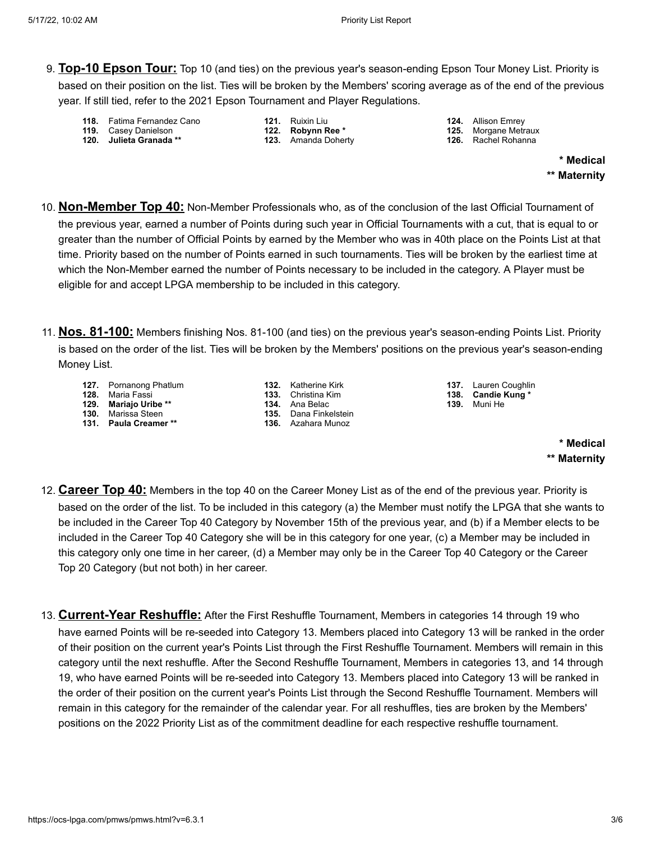- 9. **Top-10 Epson Tour:** Top 10 (and ties) on the previous year's season-ending Epson Tour Money List. Priority is based on their position on the list. Ties will be broken by the Members' scoring average as of the end of the previous year. If still tied, refer to the 2021 Epson Tournament and Player Regulations.
	- **118.** Fatima Fernandez Cano
	- **119.** Casey Danielson **120. Julieta Granada \*\***
- **121.** Ruixin Liu **122. Robynn Ree \***
- **123.** Amanda Doherty
- **124.** Allison Emrey **125.** Morgane Metraux
- **126.** Rachel Rohanna

**\* Medical \*\* Maternity**

- 10. **Non-Member Top 40:** Non-Member Professionals who, as of the conclusion of the last Official Tournament of the previous year, earned a number of Points during such year in Official Tournaments with a cut, that is equal to or greater than the number of Official Points by earned by the Member who was in 40th place on the Points List at that time. Priority based on the number of Points earned in such tournaments. Ties will be broken by the earliest time at which the Non-Member earned the number of Points necessary to be included in the category. A Player must be eligible for and accept LPGA membership to be included in this category.
- 11. **Nos. 81-100:** Members finishing Nos. 81-100 (and ties) on the previous year's season-ending Points List. Priority is based on the order of the list. Ties will be broken by the Members' positions on the previous year's season-ending Money List.
	- **127.** Pornanong Phatlum
	- **128.** Maria Fassi
	- **129. Mariajo Uribe \*\* 130.** Marissa Steen
	- **131. Paula Creamer \*\***
- **132.** Katherine Kirk **133.** Christina Kim
- **134.** Ana Belac
- **135.** Dana Finkelstein
- **136.** Azahara Munoz

**137.** Lauren Coughlin **138. Candie Kung \* 139.** Muni He

# **\* Medical \*\* Maternity**

- 12. **Career Top 40:** Members in the top 40 on the Career Money List as of the end of the previous year. Priority is based on the order of the list. To be included in this category (a) the Member must notify the LPGA that she wants to be included in the Career Top 40 Category by November 15th of the previous year, and (b) if a Member elects to be included in the Career Top 40 Category she will be in this category for one year, (c) a Member may be included in this category only one time in her career, (d) a Member may only be in the Career Top 40 Category or the Career Top 20 Category (but not both) in her career.
- 13. **Current-Year Reshuffle:** After the First Reshuffle Tournament, Members in categories 14 through 19 who have earned Points will be re-seeded into Category 13. Members placed into Category 13 will be ranked in the order of their position on the current year's Points List through the First Reshuffle Tournament. Members will remain in this category until the next reshuffle. After the Second Reshuffle Tournament, Members in categories 13, and 14 through 19, who have earned Points will be re-seeded into Category 13. Members placed into Category 13 will be ranked in the order of their position on the current year's Points List through the Second Reshuffle Tournament. Members will remain in this category for the remainder of the calendar year. For all reshuffles, ties are broken by the Members' positions on the 2022 Priority List as of the commitment deadline for each respective reshuffle tournament.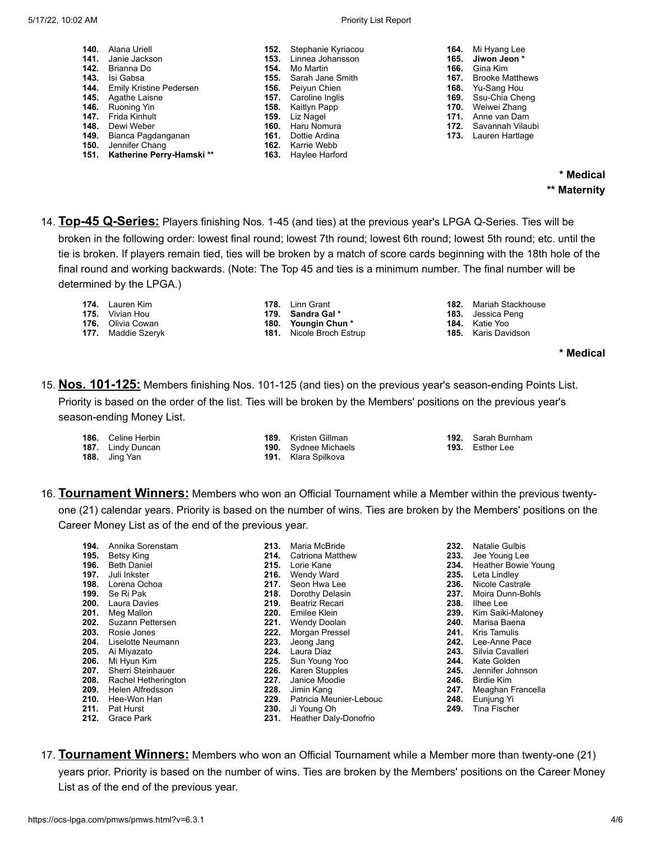#### 5/17/22, 10:02 AM Priority List Report

| 140. | Alana Uriell                        |      | <b>152.</b> Stephanie Kyriacou | 164. | Mi Hyang Lee                 |
|------|-------------------------------------|------|--------------------------------|------|------------------------------|
| 141. | Janie Jackson                       | 153. | Linnea Johansson               | 165. | Jiwon Jeon *                 |
|      | <b>142.</b> Brianna Do              | 154. | Mo Martin                      | 166. | Gina Kim                     |
|      | 143. Isi Gabsa                      |      | <b>155.</b> Sarah Jane Smith   | 167. | <b>Brooke Matthews</b>       |
|      | <b>144.</b> Emily Kristine Pedersen |      | <b>156.</b> Peiyun Chien       |      | <b>168.</b> Yu-Sang Hou      |
|      | <b>145.</b> Agathe Laisne           |      | <b>157.</b> Caroline Inglis    |      | <b>169.</b> Ssu-Chia Cheng   |
|      | 146. Ruoning Yin                    |      | <b>158.</b> Kaitlyn Papp       |      | <b>170.</b> Weiwei Zhang     |
| 147. | Frida Kinhult                       | 159. | Liz Nagel                      | 171. | Anne van Dam                 |
| 148. | Dewi Weber                          | 160. | Haru Nomura                    |      | <b>172.</b> Savannah Vilaubi |
|      | 149. Bianca Pagdanganan             | 161. | Dottie Ardina                  |      | <b>173.</b> Lauren Hartlage  |
|      | <b>150.</b> Jennifer Chang          |      | <b>162.</b> Karrie Webb        |      |                              |
|      | 151. Katherine Perry-Hamski**       |      | <b>163.</b> Haylee Harford     |      |                              |

**\* Medical \*\* Maternity**

- 14. **Top-45 Q-Series:** Players finishing Nos. 1-45 (and ties) at the previous year's LPGA Q-Series. Ties will be broken in the following order: lowest final round; lowest 7th round; lowest 6th round; lowest 5th round; etc. until the tie is broken. If players remain tied, ties will be broken by a match of score cards beginning with the 18th hole of the final round and working backwards. (Note: The Top 45 and ties is a minimum number. The final number will be determined by the LPGA.)
	- **174.** Lauren Kim **175.** Vivian Hou **176.** Olivia Cowan

**177.** Maddie Szeryk

- **178.** Linn Grant
- **179. Sandra Gal \***
- **180. Youngin Chun \***
- **181.** Nicole Broch Estrup
- **182.** Mariah Stackhouse
- **183.** Jessica Peng
- **184.** Katie Yoo **185.** Karis Davidson

**\* Medical**

15. **Nos. 101-125:** Members finishing Nos. 101-125 (and ties) on the previous year's season-ending Points List.

Priority is based on the order of the list. Ties will be broken by the Members' positions on the previous year's season-ending Money List.

**186.** Celine Herbin **187.** Lindy Duncan

**188.** Jing Yan

- **189.** Kristen Gillman
- **190.** Sydnee Michaels **191.** Klara Spilkova
- **192.** Sarah Burnham **193.** Esther Lee
- 16. **Tournament Winners:** Members who won an Official Tournament while a Member within the previous twenty-

one (21) calendar years. Priority is based on the number of wins. Ties are broken by the Members' positions on the Career Money List as of the end of the previous year.

| Annika Sorenstam              | 213. | Maria McBride           |
|-------------------------------|------|-------------------------|
| <b>Betsy King</b>             | 214. | Catriona Matthew        |
| <b>196.</b> Beth Daniel       | 215. | Lorie Kane              |
| <b>197.</b> Juli Inkster      |      | 216. Wendy Ward         |
| 198. Lorena Ochoa             | 217. | Seon Hwa Lee            |
| <b>199.</b> Se Ri Pak         | 218. | Dorothy Delasin         |
| <b>200.</b> Laura Davies      | 219. | Beatriz Recari          |
| 201. Meg Mallon               | 220. | Emilee Klein            |
| <b>202.</b> Suzann Pettersen  | 221. | Wendy Doolan            |
| 203. Rosie Jones              | 222. | Morgan Pressel          |
| <b>204.</b> Liselotte Neumann | 223. | Jeong Jang              |
| 205. Ai Miyazato              | 224. | Laura Diaz              |
| 206. Mi Hyun Kim              | 225. | Sun Young Yoo           |
| Sherri Steinhauer             | 226. | <b>Karen Stupples</b>   |
| 208. Rachel Hetherington      | 227. | Janice Moodie           |
| 209. Helen Alfredsson         | 228. | Jimin Kang              |
| 210. Hee-Won Han              | 229. | Patricia Meunier-Lebouc |
| 211. Pat Hurst                | 230. | Ji Young Oh             |
| <b>Grace Park</b>             | 231. | Heather Daly-Donofrio   |
|                               |      |                         |

- **232.** Natalie Gulbis **233.** Jee Young Lee
- **234.** Heather Bowie Young
- **235.** Leta Lindley
- **236.** Nicole Castrale
- **237.** Moira Dunn-Bohls
- **238.** Ilhee Lee
- **239.** Kim Saiki-Maloney
- **240.** Marisa Baena
- **241.** Kris Tamulis
- **242.** Lee-Anne Pace
- **243.** Silvia Cavalleri
- **244.** Kate Golden
- **245.** Jennifer Johnson
- **246.** Birdie Kim
- **247.** Meaghan Francella
- **248.** Eunjung Yi **249.** Tina Fischer
- 17. **Tournament Winners:** Members who won an Official Tournament while a Member more than twenty-one (21) years prior. Priority is based on the number of wins. Ties are broken by the Members' positions on the Career Money List as of the end of the previous year.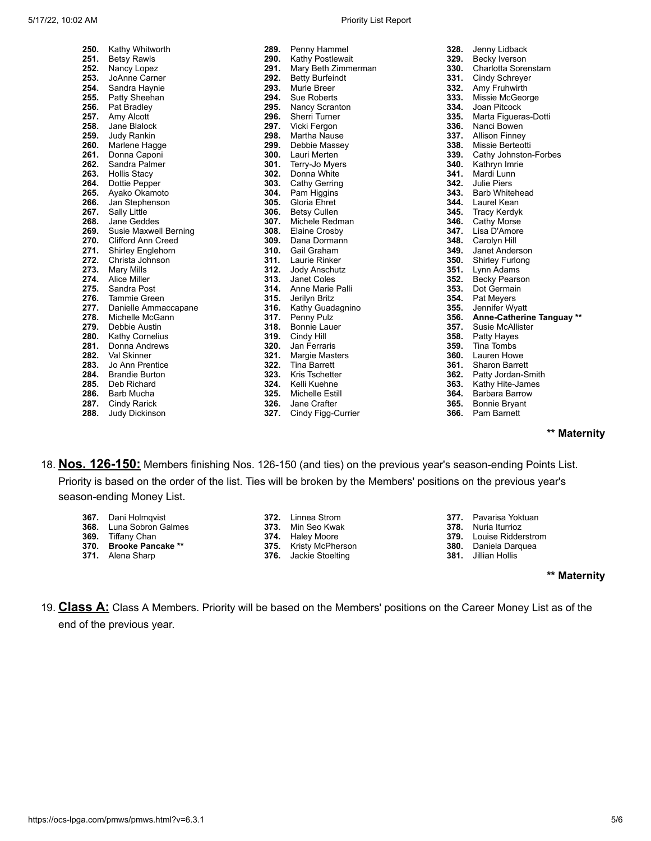| Priority List Report |  |  |  |
|----------------------|--|--|--|
|----------------------|--|--|--|

| 250. | Kathy Whitworth            | 289. | Penny Hammel           |
|------|----------------------------|------|------------------------|
| 251. | <b>Betsy Rawls</b>         | 290. | Kathy Postlewait       |
| 252. | Nancy Lopez                | 291. | Mary Beth Zimmerman    |
| 253. | JoAnne Carner              | 292. | <b>Betty Burfeindt</b> |
|      | 254. Sandra Haynie         | 293. | <b>Murle Breer</b>     |
|      | 255. Patty Sheehan         | 294. | <b>Sue Roberts</b>     |
| 256. | Pat Bradley                |      | 295. Nancy Scranton    |
| 257. | Amy Alcott                 | 296. | <b>Sherri Turner</b>   |
| 258. | Jane Blalock               |      | 297. Vicki Fergon      |
| 259. | Judy Rankin                | 298. | Martha Nause           |
| 260. | Marlene Hagge              |      | 299. Debbie Massey     |
|      | 261. Donna Caponi          |      | 300. Lauri Merten      |
|      | 262. Sandra Palmer         |      | 301. Terry-Jo Myers    |
|      | 263. Hollis Stacy          | 302. | Donna White            |
|      | 264. Dottie Pepper         |      | 303. Cathy Gerring     |
| 265. | Ayako Okamoto              |      | 304. Pam Higgins       |
| 266. | Jan Stephenson             | 305. | Gloria Ehret           |
| 267. | <b>Sally Little</b>        |      | 306. Betsy Cullen      |
| 268. | Jane Geddes                | 307. | Michele Redman         |
|      | 269. Susie Maxwell Berning |      | 308. Elaine Crosby     |
|      | 270. Clifford Ann Creed    |      | 309. Dana Dormann      |
|      | 271. Shirley Englehorn     |      | 310. Gail Graham       |
|      | 272. Christa Johnson       |      | 311. Laurie Rinker     |
|      | 273. Mary Mills            |      | 312. Jody Anschutz     |
|      | 274. Alice Miller          |      | 313. Janet Coles       |
|      | 275. Sandra Post           |      | 314. Anne Marie Palli  |
|      | 276. Tammie Green          | 315. | Jerilyn Britz          |
|      | 277. Danielle Ammaccapane  | 316. | Kathy Guadagnino       |
| 278. | Michelle McGann            | 317. | Penny Pulz             |
|      | 279. Debbie Austin         | 318. | <b>Bonnie Lauer</b>    |
| 280. | Kathy Cornelius            | 319. | Cindy Hill             |
|      | 281. Donna Andrews         | 320. | Jan Ferraris           |
|      | 282. Val Skinner           |      | 321. Margie Masters    |
|      | 283. Jo Ann Prentice       |      | 322. Tina Barrett      |
|      | 284. Brandie Burton        |      | 323. Kris Tschetter    |
| 285. | Deb Richard                |      | 324. Kelli Kuehne      |
|      | 286. Barb Mucha            |      | 325. Michelle Estill   |
| 287. | <b>Cindy Rarick</b>        |      | 326. Jane Crafter      |
| 288. | Judy Dickinson             | 327. | Cindy Figg-Currier     |
|      |                            |      |                        |

| 328. | Jenny Lidback             |
|------|---------------------------|
| 329. | Becky Iverson             |
| 330. | Charlotta Sorenstam       |
| 331. | Cindy Schreyer            |
| 332. | Amy Fruhwirth             |
| 333. | Missie McGeorge           |
| 334. | Joan Pitcock              |
| 335. | Marta Figueras-Dotti      |
| 336. | Nanci Bowen               |
| 337. | <b>Allison Finney</b>     |
| 338. | Missie Berteotti          |
| 339. | Cathy Johnston-Forbes     |
| 340. | Kathryn Imrie             |
| 341. | Mardi Lunn                |
| 342. | <b>Julie Piers</b>        |
| 343. | <b>Barb Whitehead</b>     |
| 344. | Laurel Kean               |
| 345. | <b>Tracy Kerdyk</b>       |
| 346. | Cathy Morse               |
| 347. | Lisa D'Amore              |
| 348. | Carolyn Hill              |
| 349. | Janet Anderson            |
| 350. | Shirley Furlong           |
| 351. | Lynn Adams                |
| 352. | <b>Becky Pearson</b>      |
| 353. | Dot Germain               |
| 354. | Pat Meyers                |
| 355. | Jennifer Wyatt            |
| 356. | Anne-Catherine Tanguay ** |
| 357. | <b>Susie McAllister</b>   |
| 358. | Patty Hayes               |
| 359. | <b>Tina Tombs</b>         |
| 360. | Lauren Howe               |
| 361. | <b>Sharon Barrett</b>     |
| 362. | Patty Jordan-Smith        |
| 363. | Kathy Hite-James          |
| 364. | <b>Barbara Barrow</b>     |
| 365. | <b>Bonnie Bryant</b>      |
| 366. | Pam Barnett               |

# **\*\* Maternity**

18. **Nos. 126-150:** Members finishing Nos. 126-150 (and ties) on the previous year's season-ending Points List.

Priority is based on the order of the list. Ties will be broken by the Members' positions on the previous year's season-ending Money List.

| 367. Dani Holmqvist            | <b>372.</b> Linnea Strom     | <b>377.</b> Pavarisa Yoktuan   |
|--------------------------------|------------------------------|--------------------------------|
| <b>368.</b> Luna Sobron Galmes | 373. Min Seo Kwak            | <b>378.</b> Nuria Iturrioz     |
| 369. Tiffany Chan              | 374. Haley Moore             | <b>379.</b> Louise Ridderstrom |
| 370. Brooke Pancake **         | <b>375.</b> Kristy McPherson | <b>380.</b> Daniela Darquea    |
| 371. Alena Sharp               | <b>376.</b> Jackie Stoelting | <b>381.</b> Jillian Hollis     |

# **\*\* Maternity**

19. **Class A:** Class A Members. Priority will be based on the Members' positions on the Career Money List as of the end of the previous year.